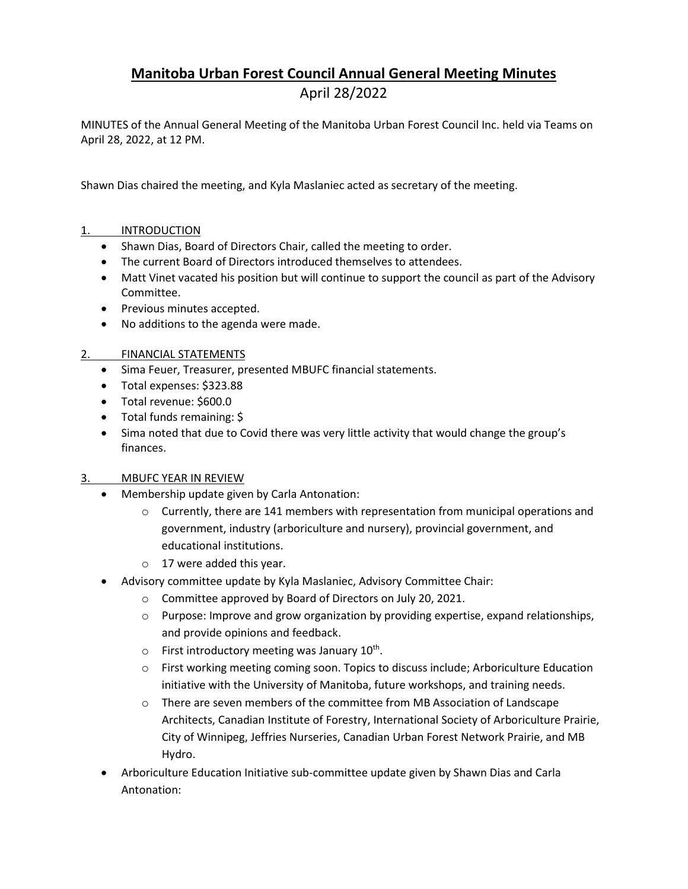# **Manitoba Urban Forest Council Annual General Meeting Minutes** April 28/2022

MINUTES of the Annual General Meeting of the Manitoba Urban Forest Council Inc. held via Teams on April 28, 2022, at 12 PM.

Shawn Dias chaired the meeting, and Kyla Maslaniec acted as secretary of the meeting.

## 1. **INTRODUCTION**

- Shawn Dias, Board of Directors Chair, called the meeting to order.
- The current Board of Directors introduced themselves to attendees.
- Matt Vinet vacated his position but will continue to support the council as part of the Advisory Committee.
- Previous minutes accepted.
- No additions to the agenda were made.

#### 2. FINANCIAL STATEMENTS

- Sima Feuer, Treasurer, presented MBUFC financial statements.
- Total expenses: \$323.88
- Total revenue: \$600.0
- Total funds remaining: \$
- Sima noted that due to Covid there was very little activity that would change the group's finances.

#### 3. MBUFC YEAR IN REVIEW

- Membership update given by Carla Antonation:
	- $\circ$  Currently, there are 141 members with representation from municipal operations and government, industry (arboriculture and nursery), provincial government, and educational institutions.
	- o 17 were added this year.
- Advisory committee update by Kyla Maslaniec, Advisory Committee Chair:
	- o Committee approved by Board of Directors on July 20, 2021.
	- $\circ$  Purpose: Improve and grow organization by providing expertise, expand relationships, and provide opinions and feedback.
	- $\circ$  First introductory meeting was January 10<sup>th</sup>.
	- $\circ$  First working meeting coming soon. Topics to discuss include; Arboriculture Education initiative with the University of Manitoba, future workshops, and training needs.
	- o There are seven members of the committee from MB Association of Landscape Architects, Canadian Institute of Forestry, International Society of Arboriculture Prairie, City of Winnipeg, Jeffries Nurseries, Canadian Urban Forest Network Prairie, and MB Hydro.
- Arboriculture Education Initiative sub-committee update given by Shawn Dias and Carla Antonation: